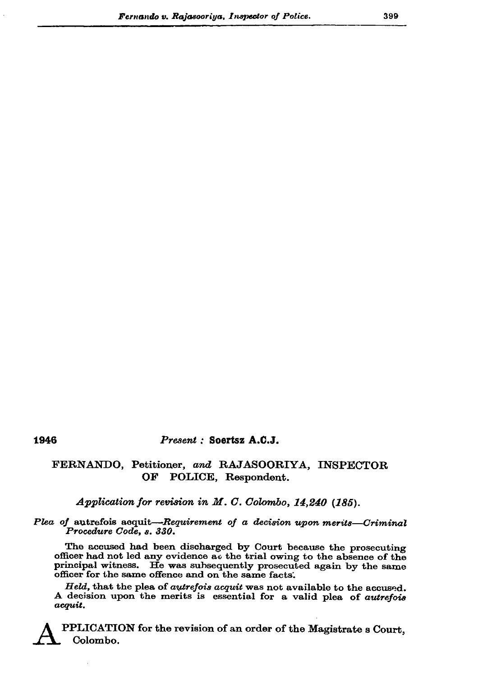## 1946

## Present : Soertsz A.C.J.

## FERNANDO, Petitioner, and RAJASOORIYA, INSPECTOR OF POLICE, Respondent.

Application for revision in M. C. Colombo, 14,240 (185).

Plea of autrefois acquit-Requirement of a decision upon merits-Criminal Procedure Code, s. 330.

The accused had been discharged by Court because the prosecuting officer had not led any evidence at the trial owing to the absence of the principal witness. He was subsequently prosecuted again by the same officer for the same offence and on the same facts.

Held, that the plea of *autrefois acquit* was not available to the accused. A decision upon the merits is essential for a valid plea of autrefois acquit.

PPLICATION for the revision of an order of the Magistrate s Court, Colombo.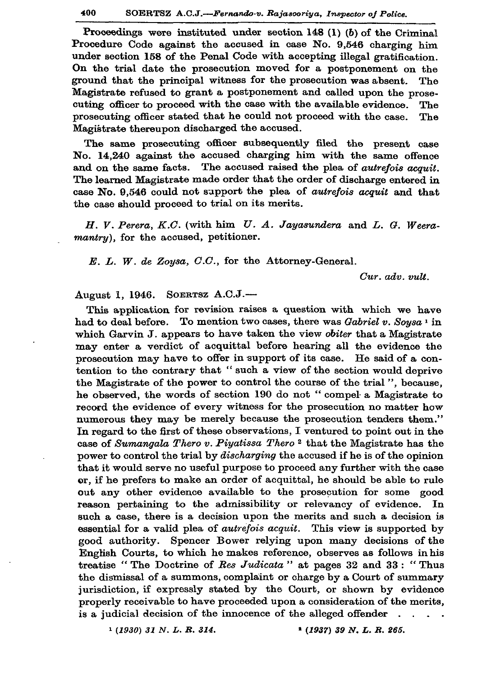Proceedings were instituted under section 148 (1) (b) of the Criminal Procedure Code against the accused in case No. 9,546 charging him under section 158 of the Penal Code with accepting illegal gratification. On the trial date the prosecution moved for a postponement on the ground that the principal witness for the prosecution was absent. The Magistrate refused to grant a postponement and called upon the prosecuting officer to proceed with the case with the available evidence. The prosecuting officer stated that he could not proceed with the case. The Magistrate thereupon discharged the accused.

The same prosecuting officer subsequently filed the present case No. 14,240 against the accused charging him with the same offence and on the same facts. The accused raised the plea of *autrefois acquit*. The learned Magistrate made order that the order of discharge entered in case No. 9.546 could not support the plea of *autrefois acquit* and that the case should proceed to trial on its merits.

H. V. Perera, K.C. (with him U. A. Jayasundera and L. G. Weeramantry), for the accused, petitioner.

E. L. W. de Zoysa, C.C., for the Attorney-General.

Cur. adv. vult.

August 1, 1946. SOERTSZ A.C.J.-

This application for revision raises a question with which we have had to deal before. To mention two cases, there was Gabriel v. Soysa<sup>1</sup> in which Garvin J. appears to have taken the view obiter that a Magistrate may enter a verdict of acquittal before hearing all the evidence the prosecution may have to offer in support of its case. He said of a contention to the contrary that "such a view of the section would deprive the Magistrate of the power to control the course of the trial", because, he observed, the words of section 190 do not "compel a Magistrate to record the evidence of every witness for the prosecution no matter how numerous they may be merely because the prosecution tenders them." In regard to the first of these observations, I ventured to point out in the case of Sumangala Thero v. Piyatissa Thero<sup>2</sup> that the Magistrate has the power to control the trial by *discharging* the accused if he is of the opinion that it would serve no useful purpose to proceed any further with the case or, if he prefers to make an order of acquittal, he should be able to rule out any other evidence available to the prosecution for some good reason pertaining to the admissibility or relevancy of evidence. In such a case, there is a decision upon the merits and such a decision is essential for a valid plea of *autrefois acquit*. This view is supported by good authority. Spencer Bower relying upon many decisions of the English Courts, to which he makes reference, observes as follows in his treatise "The Doctrine of Res Judicata" at pages 32 and 33: "Thus the dismissal of a summons, complaint or charge by a Court of summary jurisdiction, if expressly stated by the Court, or shown by evidence properly receivable to have proceeded upon a consideration of the merits, is a judicial decision of the innocence of the alleged offender  $\ddot{\phantom{a}}$ 

 $1 (1930) 31 N. L. R. 314.$ 

 $(1937)$  39 N, L. R. 265.